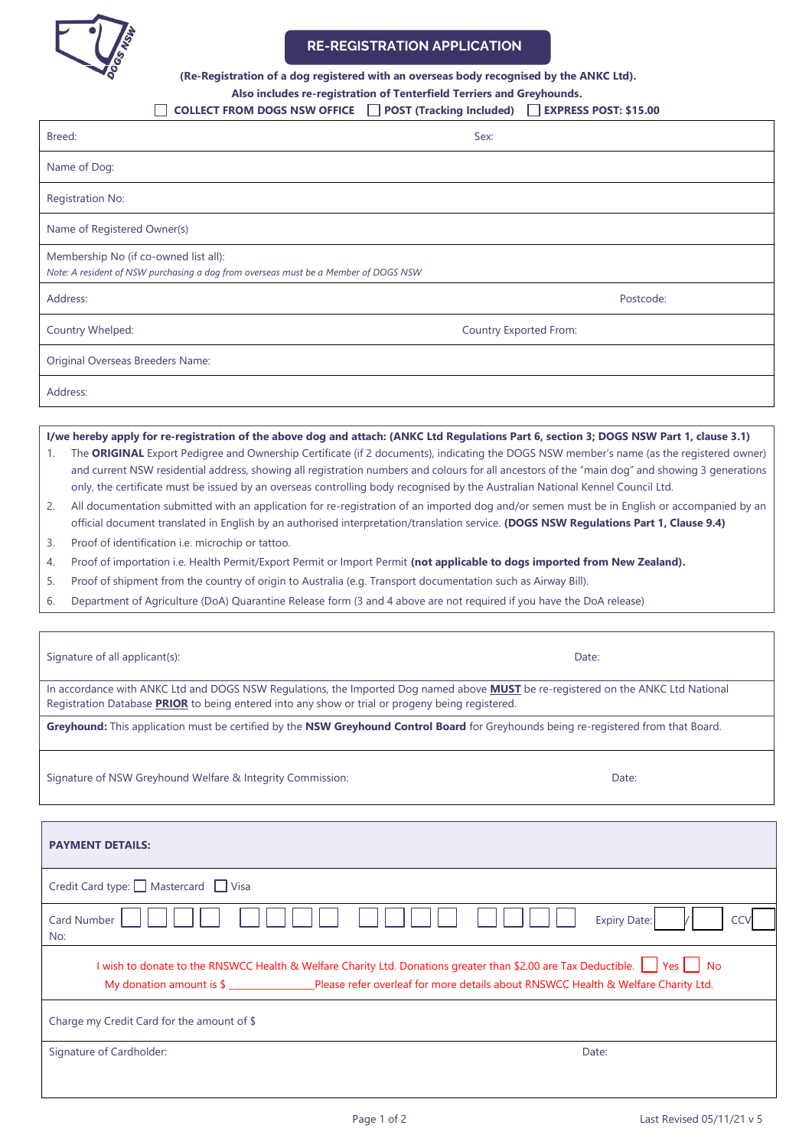

 $\sqrt{2}$ 

## **RE-REGISTRATION APPLICATION**

**(Re-Registration of a dog registered with an overseas body recognised by the ANKC Ltd).**

**Also includes re-registration of Tenterfield Terriers and Greyhounds.**

| Breed:                                                                                                                                                                                                                                                                                                                                                                                                                                                                                                                                                                                 | Sex:                          |
|----------------------------------------------------------------------------------------------------------------------------------------------------------------------------------------------------------------------------------------------------------------------------------------------------------------------------------------------------------------------------------------------------------------------------------------------------------------------------------------------------------------------------------------------------------------------------------------|-------------------------------|
| Name of Dog:                                                                                                                                                                                                                                                                                                                                                                                                                                                                                                                                                                           |                               |
| <b>Registration No:</b>                                                                                                                                                                                                                                                                                                                                                                                                                                                                                                                                                                |                               |
| Name of Registered Owner(s)                                                                                                                                                                                                                                                                                                                                                                                                                                                                                                                                                            |                               |
| Membership No (if co-owned list all):<br>Note: A resident of NSW purchasing a dog from overseas must be a Member of DOGS NSW                                                                                                                                                                                                                                                                                                                                                                                                                                                           |                               |
| Address:                                                                                                                                                                                                                                                                                                                                                                                                                                                                                                                                                                               | Postcode:                     |
| Country Whelped:                                                                                                                                                                                                                                                                                                                                                                                                                                                                                                                                                                       | <b>Country Exported From:</b> |
| Original Overseas Breeders Name:                                                                                                                                                                                                                                                                                                                                                                                                                                                                                                                                                       |                               |
| Address:                                                                                                                                                                                                                                                                                                                                                                                                                                                                                                                                                                               |                               |
|                                                                                                                                                                                                                                                                                                                                                                                                                                                                                                                                                                                        |                               |
| I/we hereby apply for re-registration of the above dog and attach: (ANKC Ltd Regulations Part 6, section 3; DOGS NSW Part 1, clause 3.1)<br>The <b>ORIGINAL</b> Export Pedigree and Ownership Certificate (if 2 documents), indicating the DOGS NSW member's name (as the registered owner)<br>1.<br>and current NSW residential address, showing all registration numbers and colours for all ancestors of the "main dog" and showing 3 generations<br>only, the certificate must be issued by an overseas controlling body recognised by the Australian National Kennel Council Ltd. |                               |

- 2. All documentation submitted with an application for re-registration of an imported dog and/or semen must be in English or accompanied by an official document translated in English by an authorised interpretation/translation service. **(DOGS NSW Regulations Part 1, Clause 9.4)**
- 3. Proof of identification i.e. microchip or tattoo.
- 4. Proof of importation i.e. Health Permit/Export Permit or Import Permit **(not applicable to dogs imported from New Zealand).**
- 5. Proof of shipment from the country of origin to Australia (e.g. Transport documentation such as Airway Bill).
- 6. Department of Agriculture (DoA) Quarantine Release form (3 and 4 above are not required if you have the DoA release)

| Signature of all applicant(s):                                                                                                                                                                                                               | Date: |
|----------------------------------------------------------------------------------------------------------------------------------------------------------------------------------------------------------------------------------------------|-------|
| In accordance with ANKC Ltd and DOGS NSW Regulations, the Imported Dog named above <b>MUST</b> be re-registered on the ANKC Ltd National<br>Registration Database PRIOR to being entered into any show or trial or progeny being registered. |       |
| Greyhound: This application must be certified by the NSW Greyhound Control Board for Greyhounds being re-registered from that Board.                                                                                                         |       |
| Signature of NSW Greyhound Welfare & Integrity Commission:                                                                                                                                                                                   | Date: |

| <b>PAYMENT DETAILS:</b>                                                                                                                                                                                                          |
|----------------------------------------------------------------------------------------------------------------------------------------------------------------------------------------------------------------------------------|
| Credit Card type: Mastercard Visa                                                                                                                                                                                                |
| <b>Expiry Date:</b><br><b>Card Number</b><br><b>CCV</b><br>No:                                                                                                                                                                   |
| I wish to donate to the RNSWCC Health & Welfare Charity Ltd. Donations greater than \$2.00 are Tax Deductible. Nes<br>My donation amount is \$ Please refer overleaf for more details about RNSWCC Health & Welfare Charity Ltd. |
| Charge my Credit Card for the amount of \$                                                                                                                                                                                       |
| Signature of Cardholder:<br>Date:                                                                                                                                                                                                |
|                                                                                                                                                                                                                                  |